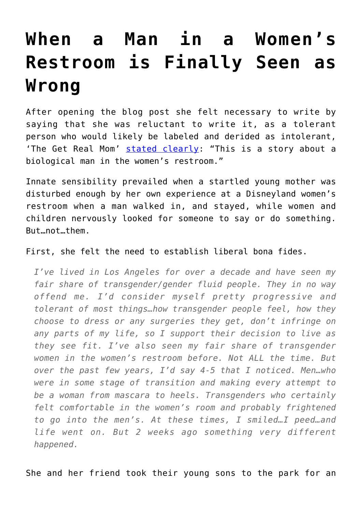## **[When a Man in a Women's](https://intellectualtakeout.org/2017/03/when-a-man-in-a-womens-restroom-is-finally-seen-as-wrong/) [Restroom is Finally Seen as](https://intellectualtakeout.org/2017/03/when-a-man-in-a-womens-restroom-is-finally-seen-as-wrong/) [Wrong](https://intellectualtakeout.org/2017/03/when-a-man-in-a-womens-restroom-is-finally-seen-as-wrong/)**

After opening the blog post she felt necessary to write by saying that she was reluctant to write it, as a tolerant person who would likely be labeled and derided as intolerant, 'The Get Real Mom' [stated clearly](http://www.thegetrealmom.com/blog/womensrestroom): "This is a story about a biological man in the women's restroom."

Innate sensibility prevailed when a startled young mother was disturbed enough by her own experience at a Disneyland women's restroom when a man walked in, and stayed, while women and children nervously looked for someone to say or do something. But…not…them.

First, she felt the need to establish liberal bona fides.

*I've lived in Los Angeles for over a decade and have seen my fair share of transgender/gender fluid people. They in no way offend me. I'd consider myself pretty progressive and tolerant of most things…how transgender people feel, how they choose to dress or any surgeries they get, don't infringe on any parts of my life, so I support their decision to live as they see fit. I've also seen my fair share of transgender women in the women's restroom before. Not ALL the time. But over the past few years, I'd say 4-5 that I noticed. Men…who were in some stage of transition and making every attempt to be a woman from mascara to heels. Transgenders who certainly felt comfortable in the women's room and probably frightened to go into the men's. At these times, I smiled…I peed…and life went on. But 2 weeks ago something very different happened.*

She and her friend took their young sons to the park for an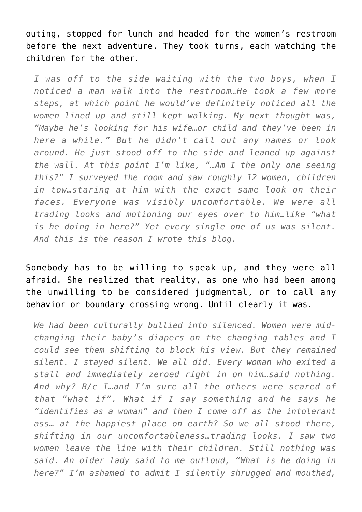outing, stopped for lunch and headed for the women's restroom before the next adventure. They took turns, each watching the children for the other.

*I was off to the side waiting with the two boys, when I noticed a man walk into the restroom…He took a few more steps, at which point he would've definitely noticed all the women lined up and still kept walking. My next thought was, "Maybe he's looking for his wife…or child and they've been in here a while." But he didn't call out any names or look around. He just stood off to the side and leaned up against the wall. At this point I'm like, "…Am I the only one seeing this?" I surveyed the room and saw roughly 12 women, children in tow…staring at him with the exact same look on their faces. Everyone was visibly uncomfortable. We were all trading looks and motioning our eyes over to him…like "what is he doing in here?" Yet every single one of us was silent. And this is the reason I wrote this blog.*

Somebody has to be willing to speak up, and they were all afraid. She realized that reality, as one who had been among the unwilling to be considered judgmental, or to call any behavior or boundary crossing wrong. Until clearly it was.

*We had been culturally bullied into silenced. Women were midchanging their baby's diapers on the changing tables and I could see them shifting to block his view. But they remained silent. I stayed silent. We all did. Every woman who exited a stall and immediately zeroed right in on him…said nothing. And why? B/c I…and I'm sure all the others were scared of that "what if". What if I say something and he says he "identifies as a woman" and then I come off as the intolerant ass… at the happiest place on earth? So we all stood there, shifting in our uncomfortableness…trading looks. I saw two women leave the line with their children. Still nothing was said. An older lady said to me outloud, "What is he doing in here?" I'm ashamed to admit I silently shrugged and mouthed,*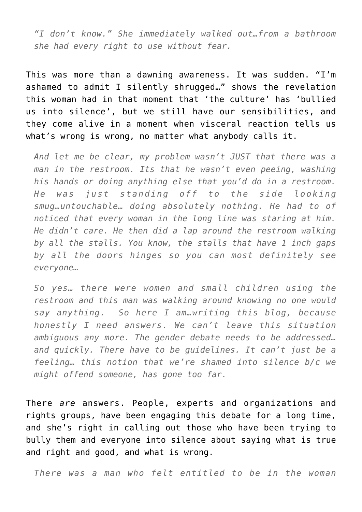*"I don't know." She immediately walked out…from a bathroom she had every right to use without fear.*

This was more than a dawning awareness. It was sudden. "I'm ashamed to admit I silently shrugged…" shows the revelation this woman had in that moment that 'the culture' has 'bullied us into silence', but we still have our sensibilities, and they come alive in a moment when visceral reaction tells us what's wrong is wrong, no matter what anybody calls it.

*And let me be clear, my problem wasn't JUST that there was a man in the restroom. Its that he wasn't even peeing, washing his hands or doing anything else that you'd do in a restroom. He was just standing off to the side looking smug…untouchable… doing absolutely nothing. He had to of noticed that every woman in the long line was staring at him. He didn't care. He then did a lap around the restroom walking by all the stalls. You know, the stalls that have 1 inch gaps by all the doors hinges so you can most definitely see everyone…*

*So yes… there were women and small children using the restroom and this man was walking around knowing no one would say anything. So here I am…writing this blog, because honestly I need answers. We can't leave this situation ambiguous any more. The gender debate needs to be addressed… and quickly. There have to be guidelines. It can't just be a feeling… this notion that we're shamed into silence b/c we might offend someone, has gone too far.*

There *are* answers. People, experts and organizations and rights groups, have been engaging this debate for a long time, and she's right in calling out those who have been trying to bully them and everyone into silence about saying what is true and right and good, and what is wrong.

*There was a man who felt entitled to be in the woman*